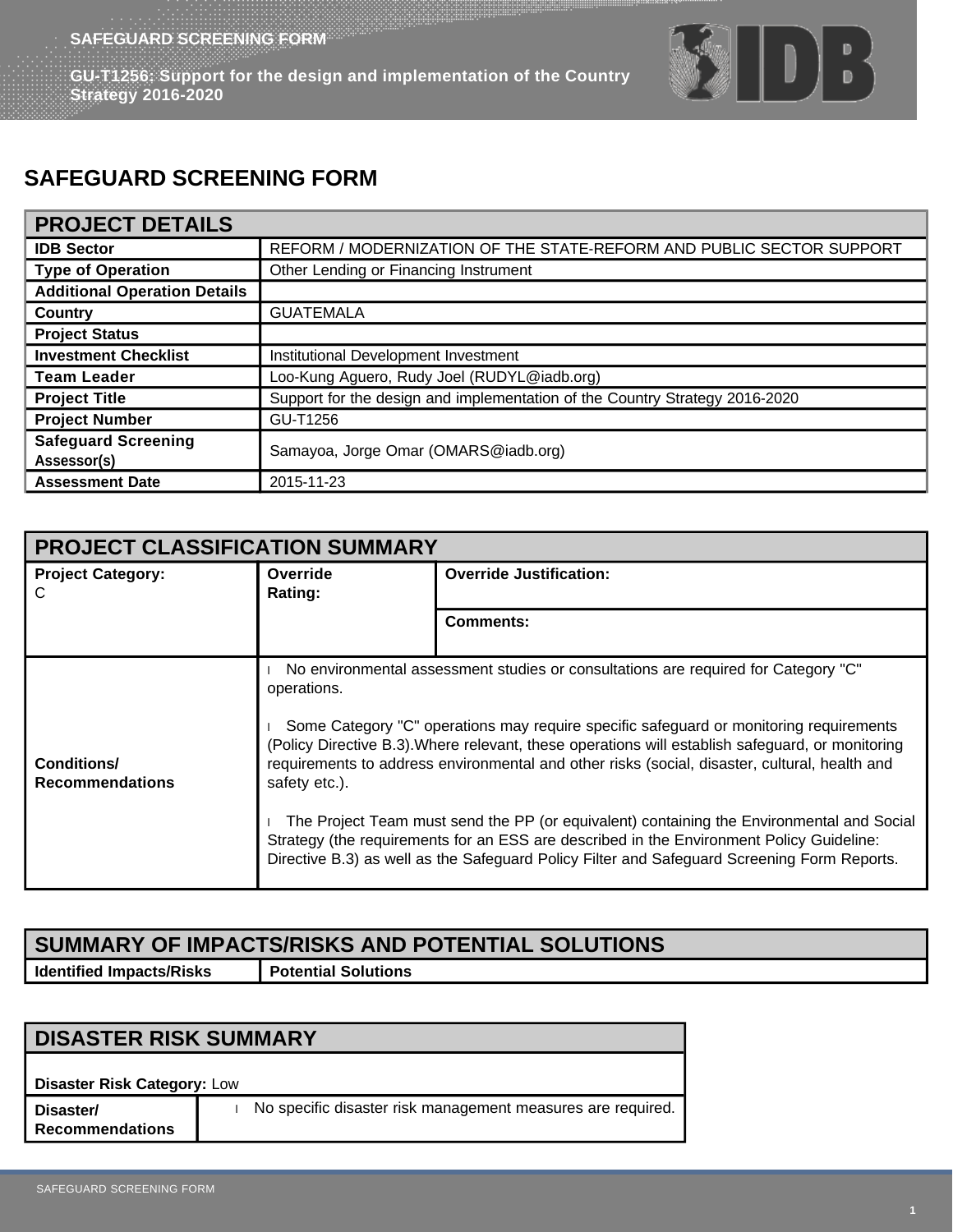**GU-T1256: Support for the design and implementation of the Country Strategy 2016-2020**



## **SAFEGUARD SCREENING FORM**

## **PROJECT DETAILS**

| <b>IDB Sector</b>                         | REFORM / MODERNIZATION OF THE STATE-REFORM AND PUBLIC SECTOR SUPPORT        |  |
|-------------------------------------------|-----------------------------------------------------------------------------|--|
| <b>Type of Operation</b>                  | Other Lending or Financing Instrument                                       |  |
| <b>Additional Operation Details</b>       |                                                                             |  |
| Country                                   | <b>GUATEMALA</b>                                                            |  |
| <b>Project Status</b>                     |                                                                             |  |
| <b>Investment Checklist</b>               | Institutional Development Investment                                        |  |
| <b>Team Leader</b>                        | Loo-Kung Aguero, Rudy Joel (RUDYL@iadb.org)                                 |  |
| <b>Project Title</b>                      | Support for the design and implementation of the Country Strategy 2016-2020 |  |
| <b>Project Number</b>                     | GU-T1256                                                                    |  |
| <b>Safeguard Screening</b><br>Assessor(s) | Samayoa, Jorge Omar (OMARS@iadb.org)                                        |  |
| <b>Assessment Date</b>                    | 2015-11-23                                                                  |  |

| <b>PROJECT CLASSIFICATION SUMMARY</b> |                                                                                                                                                                                                                                                                                                                                                                                                                                                                                                                                                                                                                                                                                                           |                                |  |
|---------------------------------------|-----------------------------------------------------------------------------------------------------------------------------------------------------------------------------------------------------------------------------------------------------------------------------------------------------------------------------------------------------------------------------------------------------------------------------------------------------------------------------------------------------------------------------------------------------------------------------------------------------------------------------------------------------------------------------------------------------------|--------------------------------|--|
| <b>Project Category:</b><br>C         | Override<br>Rating:                                                                                                                                                                                                                                                                                                                                                                                                                                                                                                                                                                                                                                                                                       | <b>Override Justification:</b> |  |
|                                       |                                                                                                                                                                                                                                                                                                                                                                                                                                                                                                                                                                                                                                                                                                           | <b>Comments:</b>               |  |
| Conditions/<br><b>Recommendations</b> | No environmental assessment studies or consultations are required for Category "C"<br>operations.<br>Some Category "C" operations may require specific safeguard or monitoring requirements<br>(Policy Directive B.3). Where relevant, these operations will establish safeguard, or monitoring<br>requirements to address environmental and other risks (social, disaster, cultural, health and<br>safety etc.).<br>The Project Team must send the PP (or equivalent) containing the Environmental and Social<br>Strategy (the requirements for an ESS are described in the Environment Policy Guideline:<br>Directive B.3) as well as the Safeguard Policy Filter and Safeguard Screening Form Reports. |                                |  |

## **SUMMARY OF IMPACTS/RISKS AND POTENTIAL SOLUTIONS Identified Impacts/Risks Potential Solutions**

**DISASTER RISK SUMMARY Disaster Risk Category:** Low **Disaster/ Recommendations** No specific disaster risk management measures are required.